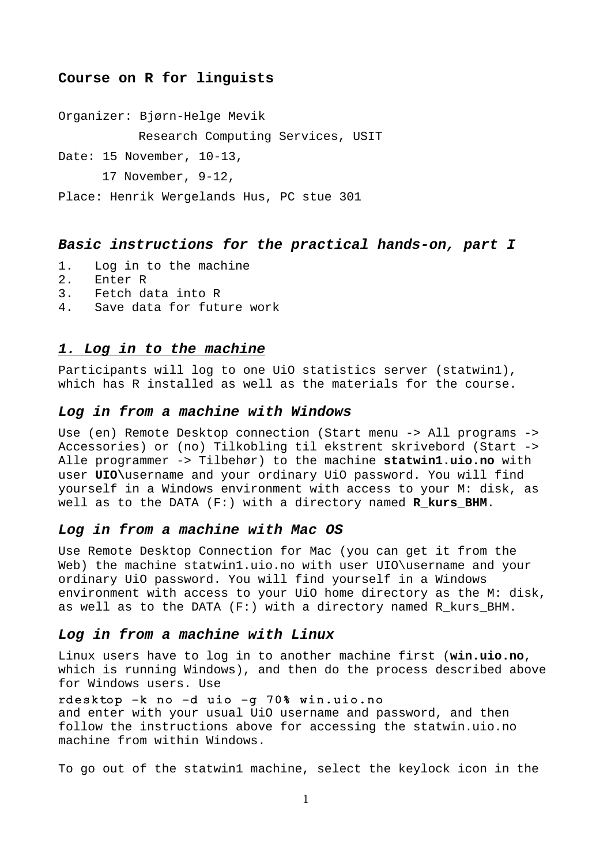# **Course on R for linguists**

Organizer: Bjørn-Helge Mevik

Research Computing Services, USIT

Date: 15 November, 10-13,

17 November, 9-12,

Place: Henrik Wergelands Hus, PC stue 301

## *Basic instructions for the practical hands-on, part I*

- 1. Log in to the machine
- 2. Enter R
- 3. Fetch data into R
- 4. Save data for future work

### *1. Log in to the machine*

Participants will log to one UiO statistics server (statwin1), which has R installed as well as the materials for the course.

### *Log in from a machine with Windows*

Use (en) Remote Desktop connection (Start menu -> All programs -> Accessories) or (no) Tilkobling til ekstrent skrivebord (Start -> Alle programmer -> Tilbehør) to the machine **statwin1.uio.no** with user **UIO\**username and your ordinary UiO password. You will find yourself in a Windows environment with access to your M: disk, as well as to the DATA (F:) with a directory named **R kurs BHM**.

#### *Log in from a machine with Mac OS*

Use Remote Desktop Connection for Mac (you can get it from the Web) the machine statwin1.uio.no with user UIO\username and your ordinary UiO password. You will find yourself in a Windows environment with access to your UiO home directory as the M: disk, as well as to the DATA (F:) with a directory named R\_kurs\_BHM.

#### *Log in from a machine with Linux*

Linux users have to log in to another machine first (**win.uio.no**, which is running Windows), and then do the process described above for Windows users. Use

### rdesktop -k no -d uio -g 70% win.uio.no

and enter with your usual UiO username and password, and then follow the instructions above for accessing the statwin.uio.no machine from within Windows.

To go out of the statwin1 machine, select the keylock icon in the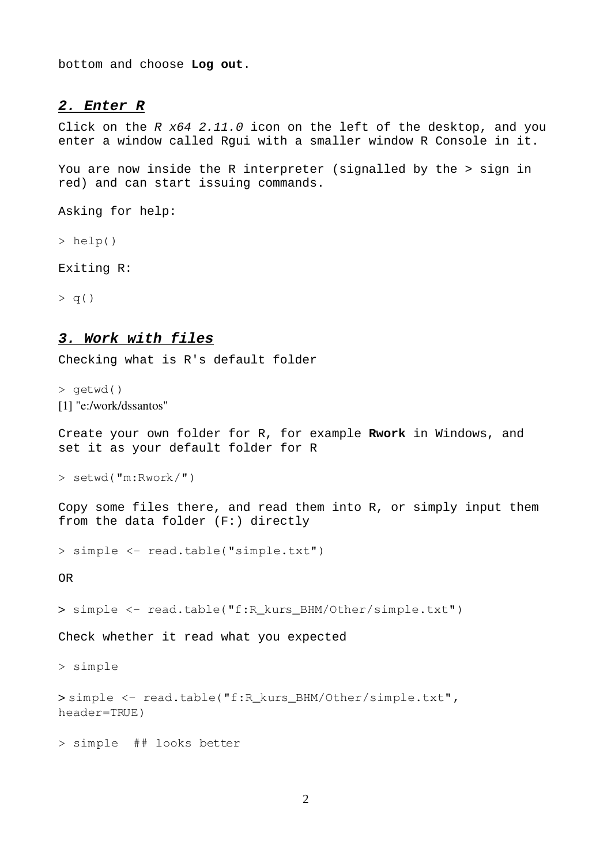bottom and choose **Log out**.

### *2. Enter R*

Click on the *R x64 2.11.0* icon on the left of the desktop, and you enter a window called Rgui with a smaller window R Console in it.

You are now inside the R interpreter (signalled by the > sign in red) and can start issuing commands.

Asking for help:

> help()

Exiting R:

 $> q()$ 

### *3. Work with files*

Checking what is R's default folder

> getwd() [1] "e:/work/dssantos"

Create your own folder for R, for example **Rwork** in Windows, and set it as your default folder for R

> setwd(["m:Rwork/"](file:///usit/platon/gvd-u1/m:/Rwork/))

Copy some files there, and read them into R, or simply input them from the data folder (F:) directly

> simple <- read.table("simple.txt")

OR

> simple <- read.table("f:R\_kurs\_BHM/Other/simple.txt")

Check whether it read what you expected

> simple

> simple <- read.table("f:R\_kurs\_BHM/Other/simple.txt", header=TRUE)

> simple ## looks better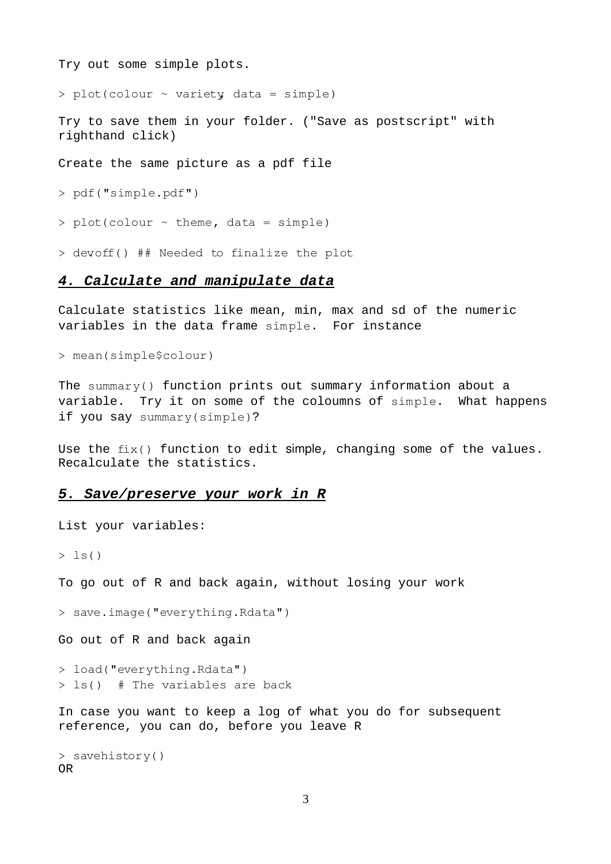Try out some simple plots.

> plot(colour ~ variety, data = simple)

Try to save them in your folder. ("Save as postscript" with righthand click)

Create the same picture as a pdf file

> pdf("simple.pdf")

 $> plot(colour \sim them$ , data = simple)

> devoff() ## Needed to finalize the plot

### *4. Calculate and manipulate data*

Calculate statistics like mean, min, max and sd of the numeric variables in the data frame simple. For instance

> mean(simple\$colour)

The summary() function prints out summary information about a variable. Try it on some of the coloumns of simple. What happens if you say summary(simple)?

Use the  $fix()$  function to edit simple, changing some of the values. Recalculate the statistics.

#### *5. Save/preserve your work in R*

List your variables:

 $> 1s()$ 

To go out of R and back again, without losing your work

> save.image("everything.Rdata")

Go out of R and back again

> load("everything.Rdata") > ls() # The variables are back

In case you want to keep a log of what you do for subsequent reference, you can do, before you leave R

```
> savehistory()
OR
```